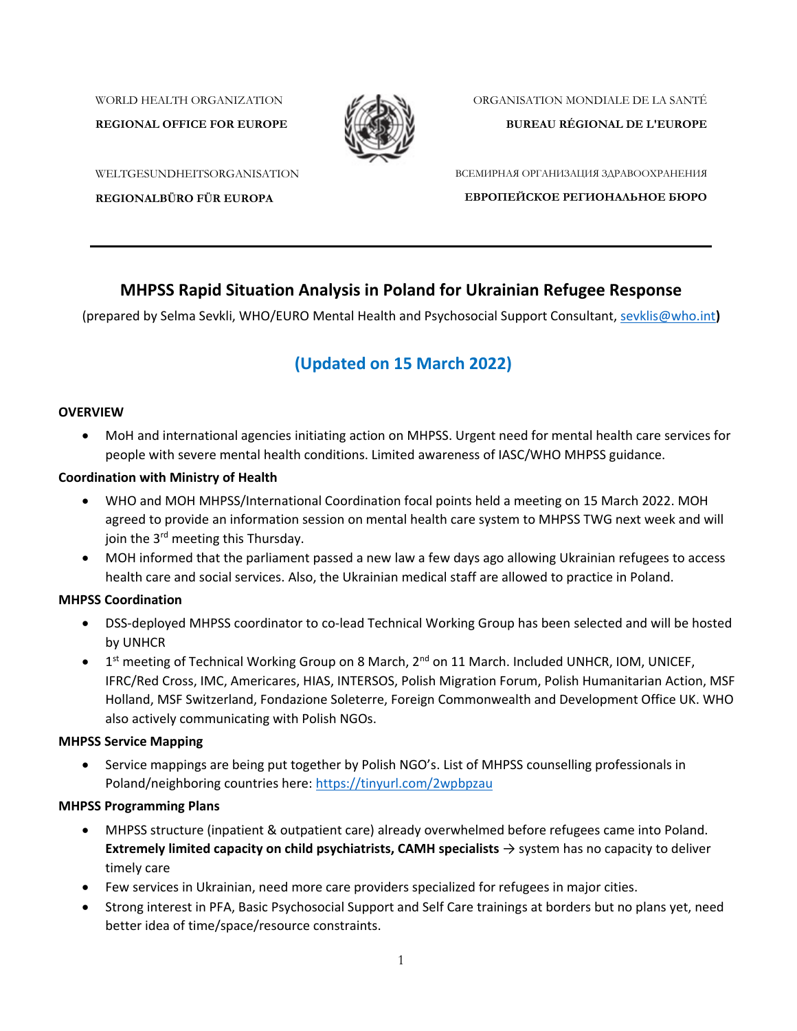WORLD HEALTH ORGANIZATION

**REGIONAL OFFICE FOR EUROPE**



ORGANISATION MONDIALE DE LA SANTÉ

**BUREAU RÉGIONAL DE L'EUROPE**

WELTGESUNDHEITSORGANISATION

**REGIONALBÜRO FÜR EUROPA**

ВСЕМИРНАЯ ОРГАНИЗАЦИЯ ЗДРАВООХРАНЕНИЯ **ЕВРОПЕЙСКОЕ РЕГИОНАЛЬНОЕ БЮРО**

# **MHPSS Rapid Situation Analysis in Poland for Ukrainian Refugee Response**

(prepared by Selma Sevkli, WHO/EURO Mental Health and Psychosocial Support Consultant, [sevklis@who.int](mailto:sevklis@who.int)**)**

# **(Updated on 15 March 2022)**

#### **OVERVIEW**

• MoH and international agencies initiating action on MHPSS. Urgent need for mental health care services for people with severe mental health conditions. Limited awareness of IASC/WHO MHPSS guidance.

### **Coordination with Ministry of Health**

- WHO and MOH MHPSS/International Coordination focal points held a meeting on 15 March 2022. MOH agreed to provide an information session on mental health care system to MHPSS TWG next week and will join the 3<sup>rd</sup> meeting this Thursday.
- MOH informed that the parliament passed a new law a few days ago allowing Ukrainian refugees to access health care and social services. Also, the Ukrainian medical staff are allowed to practice in Poland.

### **MHPSS Coordination**

- DSS-deployed MHPSS coordinator to co-lead Technical Working Group has been selected and will be hosted by UNHCR
- 1<sup>st</sup> meeting of Technical Working Group on 8 March, 2<sup>nd</sup> on 11 March. Included UNHCR, IOM, UNICEF, IFRC/Red Cross, IMC, Americares, HIAS, INTERSOS, Polish Migration Forum, Polish Humanitarian Action, MSF Holland, MSF Switzerland, Fondazione Soleterre, Foreign Commonwealth and Development Office UK. WHO also actively communicating with Polish NGOs.

### **MHPSS Service Mapping**

• Service mappings are being put together by Polish NGO's. List of MHPSS counselling professionals in Poland/neighboring countries here[: https://tinyurl.com/2wpbpzau](https://tinyurl.com/2wpbpzau)

### **MHPSS Programming Plans**

- MHPSS structure (inpatient & outpatient care) already overwhelmed before refugees came into Poland. **Extremely limited capacity on child psychiatrists, CAMH specialists** → system has no capacity to deliver timely care
- Few services in Ukrainian, need more care providers specialized for refugees in major cities.
- Strong interest in PFA, Basic Psychosocial Support and Self Care trainings at borders but no plans yet, need better idea of time/space/resource constraints.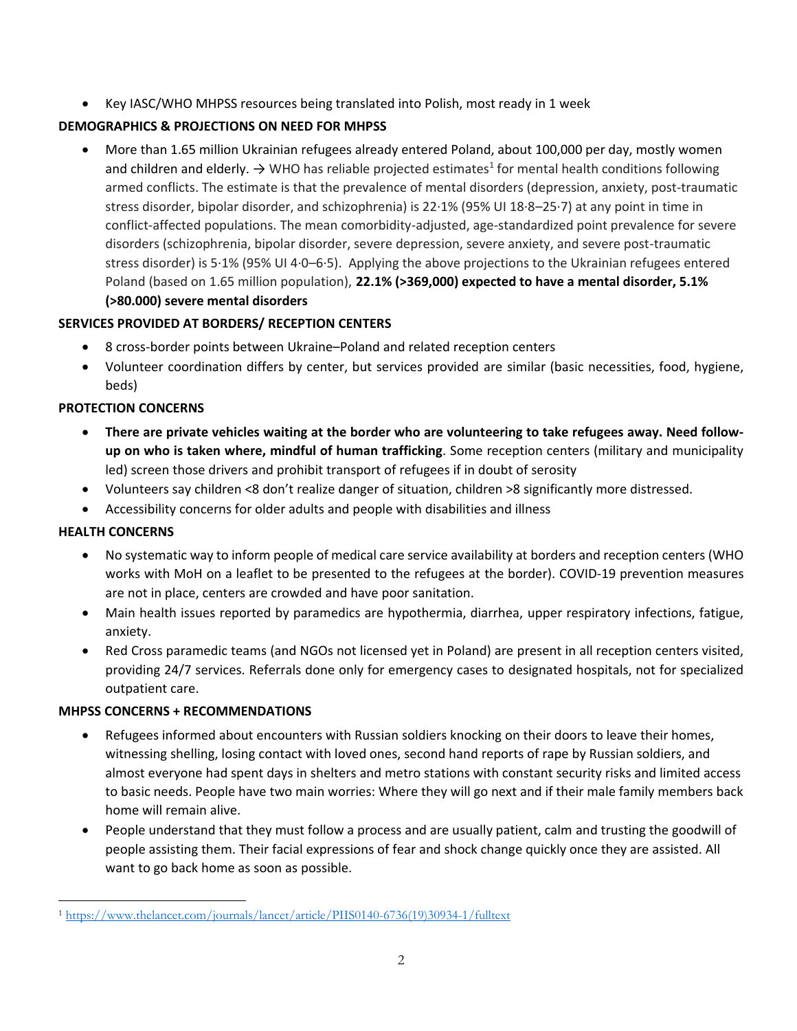• Key IASC/WHO MHPSS resources being translated into Polish, most ready in 1 week

## **DEMOGRAPHICS & PROJECTIONS ON NEED FOR MHPSS**

• More than 1.65 million Ukrainian refugees already entered Poland, about 100,000 per day, mostly women and children and elderly.  $\rightarrow$  WHO has reliable projected estimates<sup>1</sup> for mental health conditions following armed conflicts. The estimate is that the prevalence of mental disorders (depression, anxiety, post-traumatic stress disorder, bipolar disorder, and schizophrenia) is 22·1% (95% UI 18·8–25·7) at any point in time in conflict-affected populations. The mean comorbidity-adjusted, age-standardized point prevalence for severe disorders (schizophrenia, bipolar disorder, severe depression, severe anxiety, and severe post-traumatic stress disorder) is 5·1% (95% UI 4·0–6·5). Applying the above projections to the Ukrainian refugees entered Poland (based on 1.65 million population), **22.1% (>369,000) expected to have a mental disorder, 5.1% (>80.000) severe mental disorders**

## **SERVICES PROVIDED AT BORDERS/ RECEPTION CENTERS**

- 8 cross-border points between Ukraine–Poland and related reception centers
- Volunteer coordination differs by center, but services provided are similar (basic necessities, food, hygiene, beds)

### **PROTECTION CONCERNS**

- **There are private vehicles waiting at the border who are volunteering to take refugees away. Need followup on who is taken where, mindful of human trafficking**. Some reception centers (military and municipality led) screen those drivers and prohibit transport of refugees if in doubt of serosity
- Volunteers say children <8 don't realize danger of situation, children >8 significantly more distressed.
- Accessibility concerns for older adults and people with disabilities and illness

### **HEALTH CONCERNS**

- No systematic way to inform people of medical care service availability at borders and reception centers (WHO works with MoH on a leaflet to be presented to the refugees at the border). COVID-19 prevention measures are not in place, centers are crowded and have poor sanitation.
- Main health issues reported by paramedics are hypothermia, diarrhea, upper respiratory infections, fatigue, anxiety.
- Red Cross paramedic teams (and NGOs not licensed yet in Poland) are present in all reception centers visited, providing 24/7 services. Referrals done only for emergency cases to designated hospitals, not for specialized outpatient care.

### **MHPSS CONCERNS + RECOMMENDATIONS**

- Refugees informed about encounters with Russian soldiers knocking on their doors to leave their homes, witnessing shelling, losing contact with loved ones, second hand reports of rape by Russian soldiers, and almost everyone had spent days in shelters and metro stations with constant security risks and limited access to basic needs. People have two main worries: Where they will go next and if their male family members back home will remain alive.
- People understand that they must follow a process and are usually patient, calm and trusting the goodwill of people assisting them. Their facial expressions of fear and shock change quickly once they are assisted. All want to go back home as soon as possible.

 $\overline{a}$ <sup>1</sup> [https://www.thelancet.com/journals/lancet/article/PIIS0140-6736\(19\)30934-1/fulltext](https://www.thelancet.com/journals/lancet/article/PIIS0140-6736(19)30934-1/fulltext)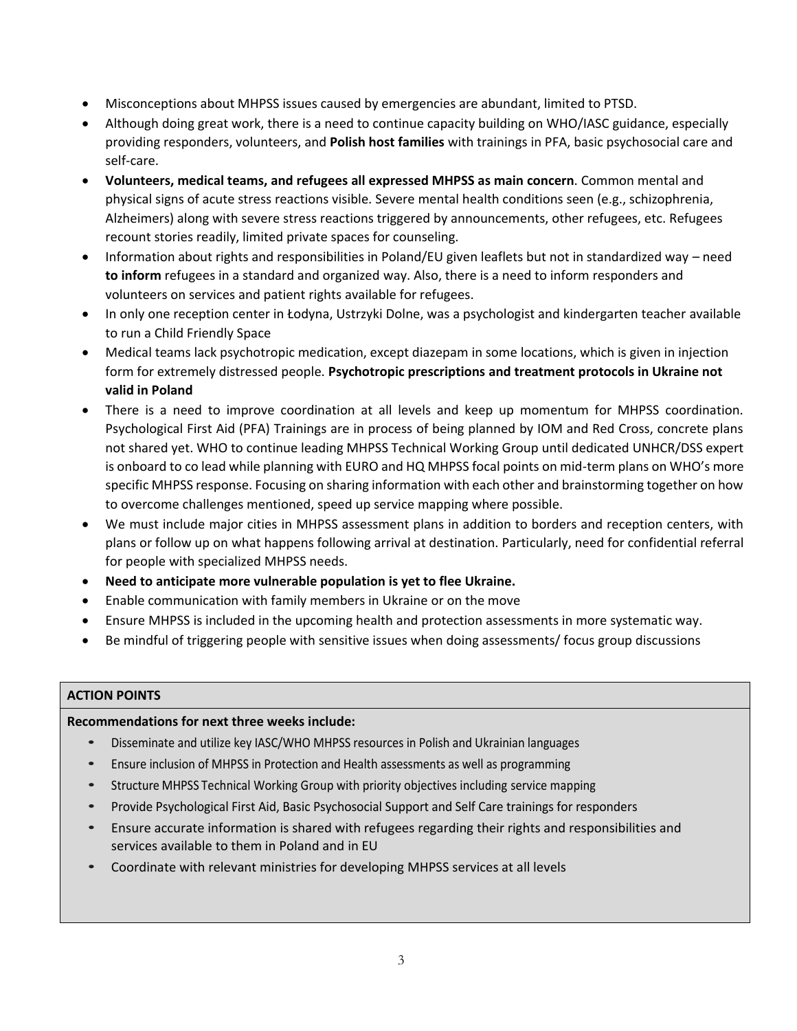- Misconceptions about MHPSS issues caused by emergencies are abundant, limited to PTSD.
- Although doing great work, there is a need to continue capacity building on WHO/IASC guidance, especially providing responders, volunteers, and **Polish host families** with trainings in PFA, basic psychosocial care and self-care.
- **Volunteers, medical teams, and refugees all expressed MHPSS as main concern**. Common mental and physical signs of acute stress reactions visible. Severe mental health conditions seen (e.g., schizophrenia, Alzheimers) along with severe stress reactions triggered by announcements, other refugees, etc. Refugees recount stories readily, limited private spaces for counseling.
- Information about rights and responsibilities in Poland/EU given leaflets but not in standardized way need **to inform** refugees in a standard and organized way. Also, there is a need to inform responders and volunteers on services and patient rights available for refugees.
- In only one reception center in Łodyna, Ustrzyki Dolne, was a psychologist and kindergarten teacher available to run a Child Friendly Space
- Medical teams lack psychotropic medication, except diazepam in some locations, which is given in injection form for extremely distressed people. **Psychotropic prescriptions and treatment protocols in Ukraine not valid in Poland**
- There is a need to improve coordination at all levels and keep up momentum for MHPSS coordination. Psychological First Aid (PFA) Trainings are in process of being planned by IOM and Red Cross, concrete plans not shared yet. WHO to continue leading MHPSS Technical Working Group until dedicated UNHCR/DSS expert is onboard to co lead while planning with EURO and HQ MHPSS focal points on mid-term plans on WHO's more specific MHPSS response. Focusing on sharing information with each other and brainstorming together on how to overcome challenges mentioned, speed up service mapping where possible.
- We must include major cities in MHPSS assessment plans in addition to borders and reception centers, with plans or follow up on what happens following arrival at destination. Particularly, need for confidential referral for people with specialized MHPSS needs.
- **Need to anticipate more vulnerable population is yet to flee Ukraine.**
- Enable communication with family members in Ukraine or on the move
- Ensure MHPSS is included in the upcoming health and protection assessments in more systematic way.
- Be mindful of triggering people with sensitive issues when doing assessments/ focus group discussions

### **ACTION POINTS**

### **Recommendations for next three weeks include:**

- Disseminate and utilize key IASC/WHO MHPSS resources in Polish and Ukrainian languages
- Ensure inclusion of MHPSS in Protection and Health assessments as well as programming
- Structure MHPSS Technical Working Group with priority objectives including service mapping
- Provide Psychological First Aid, Basic Psychosocial Support and Self Care trainings for responders
- Ensure accurate information is shared with refugees regarding their rights and responsibilities and services available to them in Poland and in EU
- Coordinate with relevant ministries for developing MHPSS services at all levels